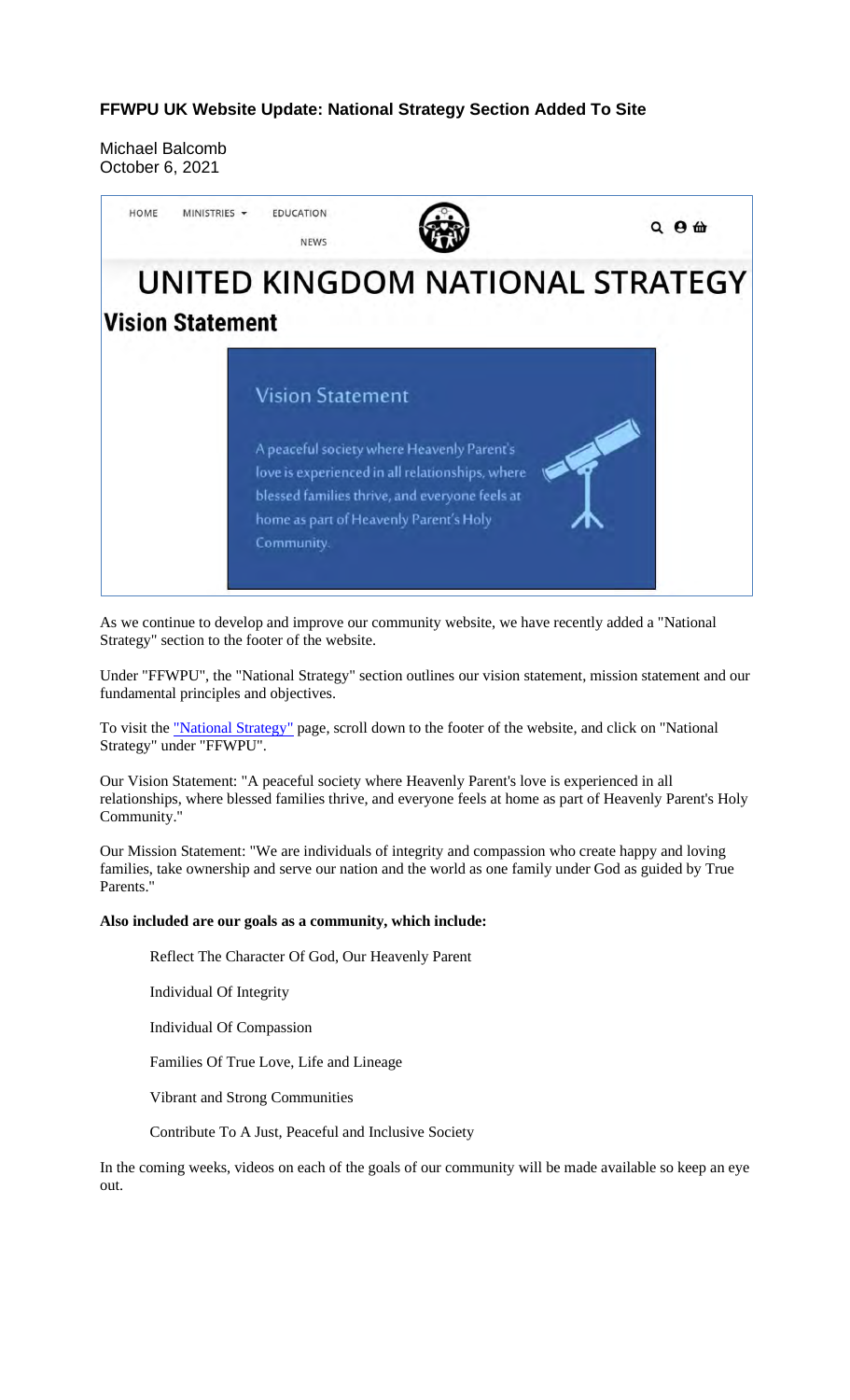#### **FFWPU UK Website Update: National Strategy Section Added To Site**

Michael Balcomb October 6, 2021



As we continue to develop and improve our community website, we have recently added a "National Strategy" section to the footer of the website.

Under "FFWPU", the "National Strategy" section outlines our vision statement, mission statement and our fundamental principles and objectives.

To visit the "National Strategy" page, scroll down to the footer of the website, and click on "National Strategy" under "FFWPU".

Our Vision Statement: "A peaceful society where Heavenly Parent's love is experienced in all relationships, where blessed families thrive, and everyone feels at home as part of Heavenly Parent's Holy Community."

Our Mission Statement: "We are individuals of integrity and compassion who create happy and loving families, take ownership and serve our nation and the world as one family under God as guided by True Parents."

#### **Also included are our goals as a community, which include:**

Reflect The Character Of God, Our Heavenly Parent

Individual Of Integrity

Individual Of Compassion

Families Of True Love, Life and Lineage

Vibrant and Strong Communities

Contribute To A Just, Peaceful and Inclusive Society

In the coming weeks, videos on each of the goals of our community will be made available so keep an eye out.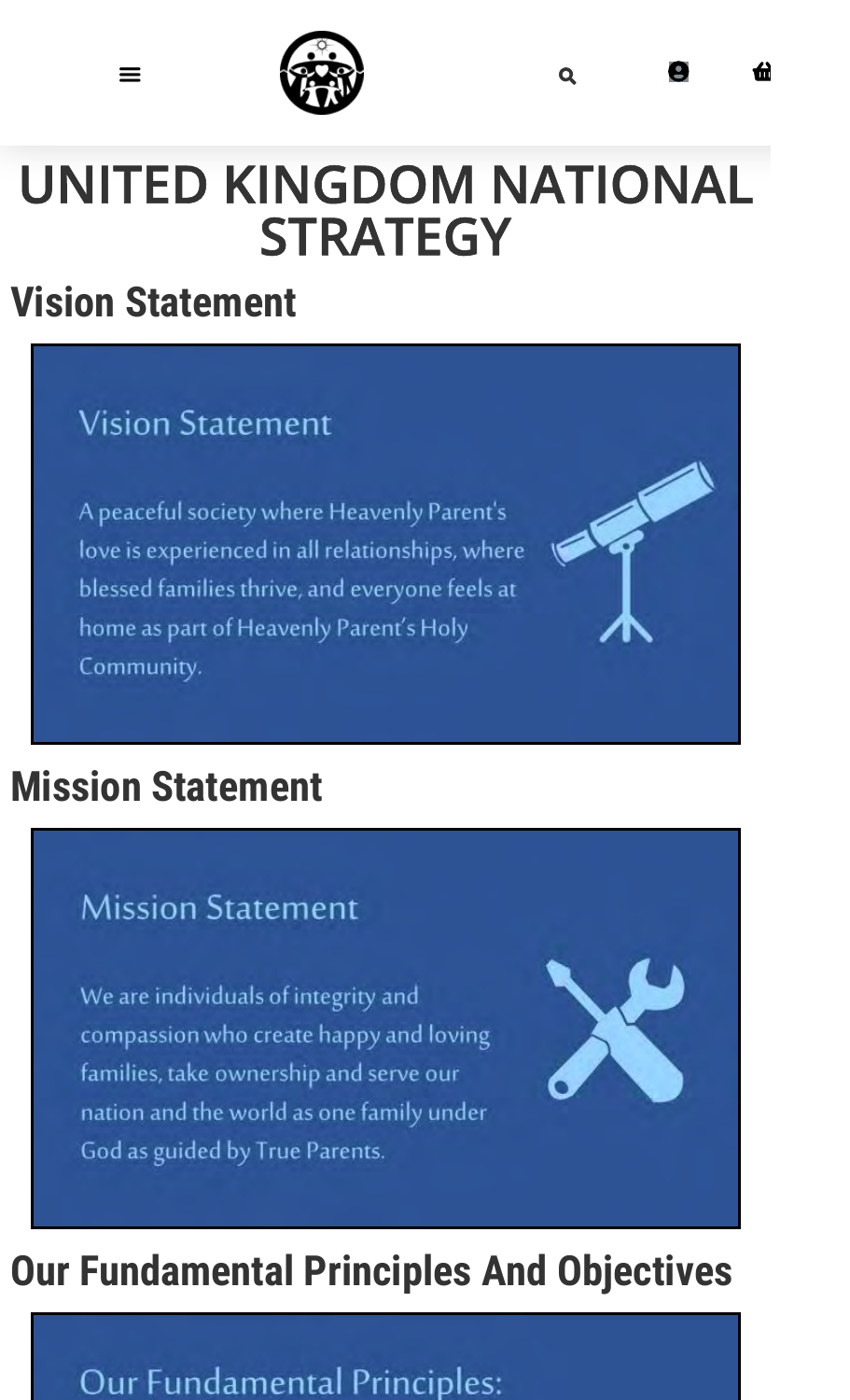

# **Vision Statement**

## **Vision Statement**

A peaceful society where Heavenly Parent's love is experienced in all relationships, where blessed families thrive, and everyone feels at home as part of Heavenly Parent's Holy Community.

# **Mission Statement**

## **Mission Statement**

We are individuals of integrity and compassion who create happy and loving families, take ownership and serve our nation and the world as one family under God as guided by True Parents.



# **Our Fundamental Principles And Objectives**

## Our Fundamental Principles: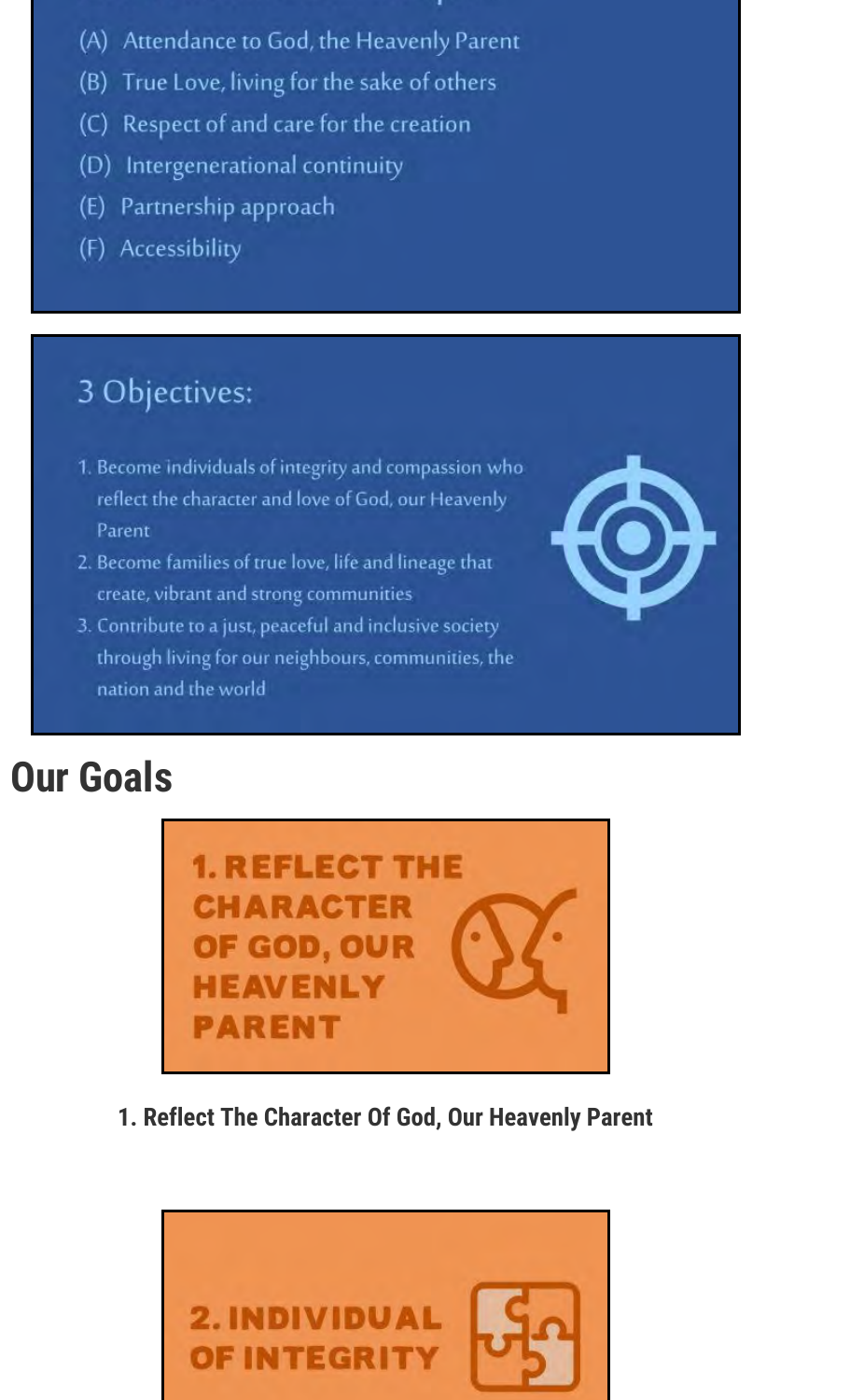- (A) Attendance to God, the Heavenly Parent
- (B) True Love, living for the sake of others
- (C) Respect of and care for the creation
- (D) Intergenerational continuity
- (E) Partnership approach
- (F) Accessibility

# 3 Objectives:

- 1. Become individuals of integrity and compassion who reflect the character and love of God, our Heavenly Parent
- 2. Become families of true love, life and lineage that create, vibrant and strong communities
- 3. Contribute to a just, peaceful and inclusive society through living for our neighbours, communities, the nation and the world

# **Our Goals**



1. Reflect The Character Of God, Our Heavenly Parent

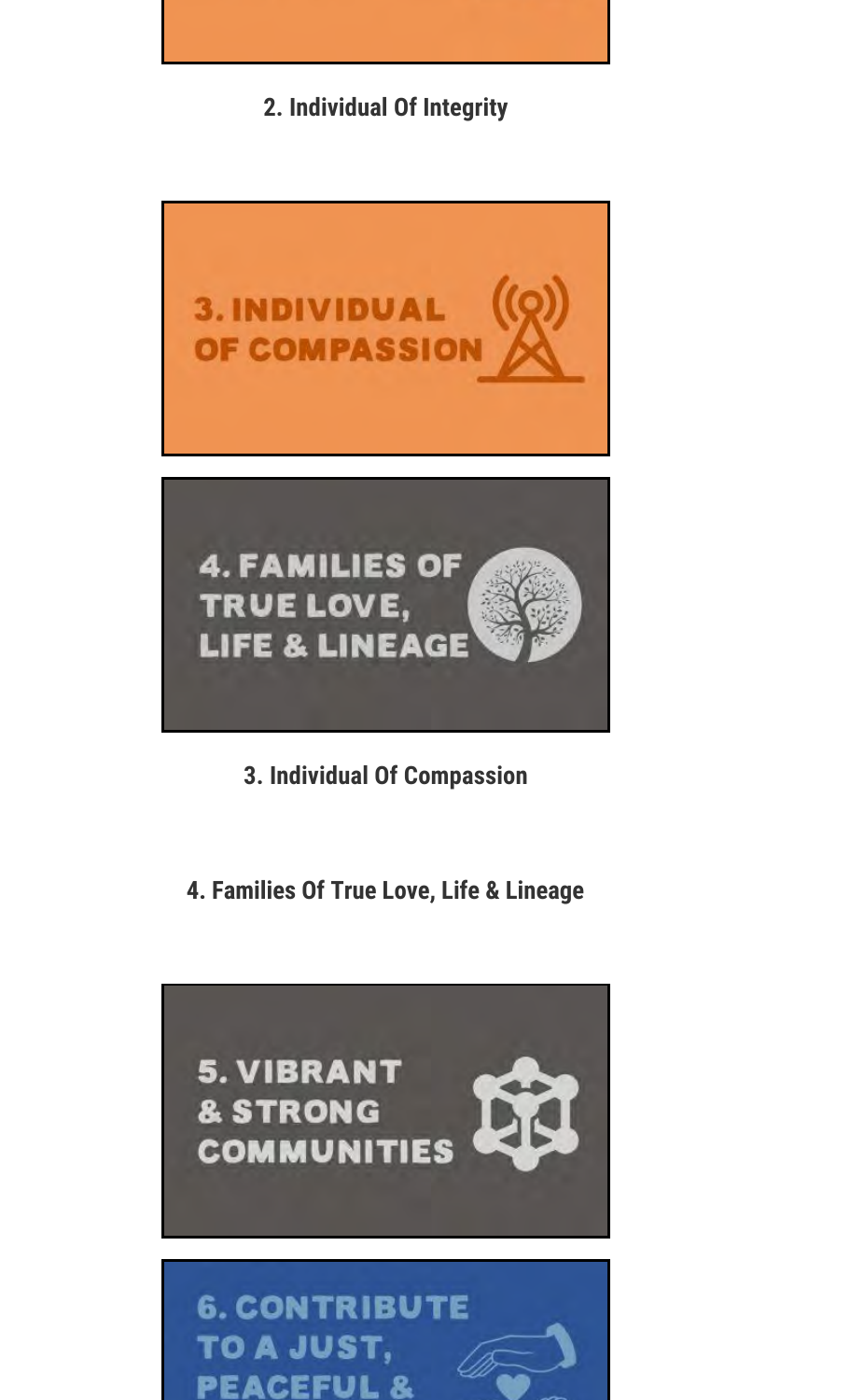**2. Individual Of Integrity**



- **3. Individual Of Compassion**
- **4. Families Of True Love, Life & Lineage**